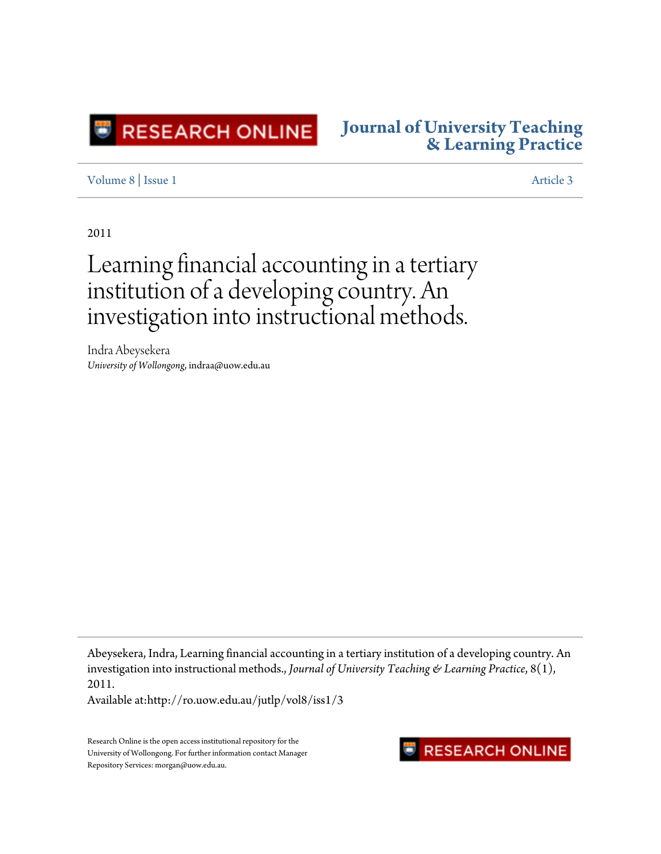

## **[Journal of University Teaching](http://ro.uow.edu.au/jutlp) [& Learning Practice](http://ro.uow.edu.au/jutlp)**

### [Volume 8](http://ro.uow.edu.au/jutlp/vol8) | [Issue 1](http://ro.uow.edu.au/jutlp/vol8/iss1) [Article 3](http://ro.uow.edu.au/jutlp/vol8/iss1/3)

2011

# Learning financial accounting in a tertiary institution of a developing country. An investigation into instructional methods.

Indra Abeysekera *University of Wollongong*, indraa@uow.edu.au

Abeysekera, Indra, Learning financial accounting in a tertiary institution of a developing country. An investigation into instructional methods., *Journal of University Teaching & Learning Practice*, 8(1), 2011.

Available at:http://ro.uow.edu.au/jutlp/vol8/iss1/3

Research Online is the open access institutional repository for the University of Wollongong. For further information contact Manager Repository Services: morgan@uow.edu.au.

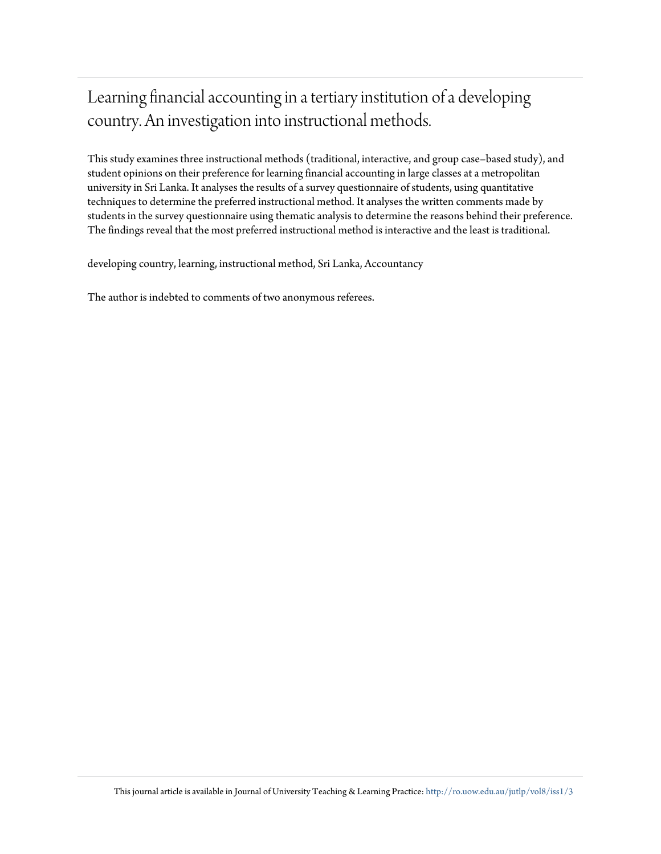## Learning financial accounting in a tertiary institution of a developing country. An investigation into instructional methods.

This study examines three instructional methods (traditional, interactive, and group case–based study), and student opinions on their preference for learning financial accounting in large classes at a metropolitan university in Sri Lanka. It analyses the results of a survey questionnaire of students, using quantitative techniques to determine the preferred instructional method. It analyses the written comments made by students in the survey questionnaire using thematic analysis to determine the reasons behind their preference. The findings reveal that the most preferred instructional method is interactive and the least is traditional.

developing country, learning, instructional method, Sri Lanka, Accountancy

The author is indebted to comments of two anonymous referees.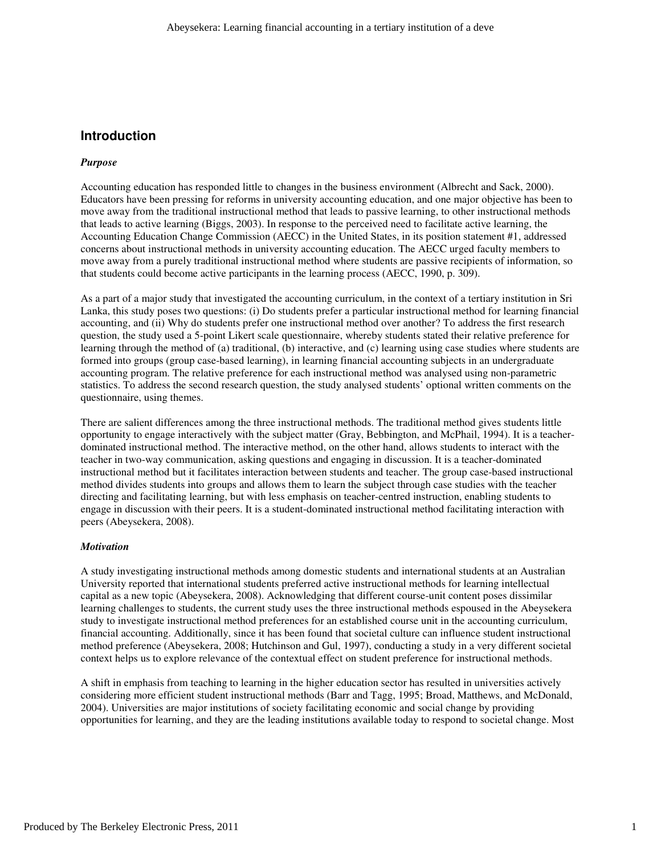## **Introduction**

#### *Purpose*

Accounting education has responded little to changes in the business environment (Albrecht and Sack, 2000). Educators have been pressing for reforms in university accounting education, and one major objective has been to move away from the traditional instructional method that leads to passive learning, to other instructional methods that leads to active learning (Biggs, 2003). In response to the perceived need to facilitate active learning, the Accounting Education Change Commission (AECC) in the United States, in its position statement #1, addressed concerns about instructional methods in university accounting education. The AECC urged faculty members to move away from a purely traditional instructional method where students are passive recipients of information, so that students could become active participants in the learning process (AECC, 1990, p. 309).

As a part of a major study that investigated the accounting curriculum, in the context of a tertiary institution in Sri Lanka, this study poses two questions: (i) Do students prefer a particular instructional method for learning financial accounting, and (ii) Why do students prefer one instructional method over another? To address the first research question, the study used a 5-point Likert scale questionnaire, whereby students stated their relative preference for learning through the method of (a) traditional, (b) interactive, and (c) learning using case studies where students are formed into groups (group case-based learning), in learning financial accounting subjects in an undergraduate accounting program. The relative preference for each instructional method was analysed using non-parametric statistics. To address the second research question, the study analysed students' optional written comments on the questionnaire, using themes.

There are salient differences among the three instructional methods. The traditional method gives students little opportunity to engage interactively with the subject matter (Gray, Bebbington, and McPhail, 1994). It is a teacherdominated instructional method. The interactive method, on the other hand, allows students to interact with the teacher in two-way communication, asking questions and engaging in discussion. It is a teacher-dominated instructional method but it facilitates interaction between students and teacher. The group case-based instructional method divides students into groups and allows them to learn the subject through case studies with the teacher directing and facilitating learning, but with less emphasis on teacher-centred instruction, enabling students to engage in discussion with their peers. It is a student-dominated instructional method facilitating interaction with peers (Abeysekera, 2008).

#### *Motivation*

A study investigating instructional methods among domestic students and international students at an Australian University reported that international students preferred active instructional methods for learning intellectual capital as a new topic (Abeysekera, 2008). Acknowledging that different course-unit content poses dissimilar learning challenges to students, the current study uses the three instructional methods espoused in the Abeysekera study to investigate instructional method preferences for an established course unit in the accounting curriculum, financial accounting. Additionally, since it has been found that societal culture can influence student instructional method preference (Abeysekera, 2008; Hutchinson and Gul, 1997), conducting a study in a very different societal context helps us to explore relevance of the contextual effect on student preference for instructional methods.

A shift in emphasis from teaching to learning in the higher education sector has resulted in universities actively considering more efficient student instructional methods (Barr and Tagg, 1995; Broad, Matthews, and McDonald, 2004). Universities are major institutions of society facilitating economic and social change by providing opportunities for learning, and they are the leading institutions available today to respond to societal change. Most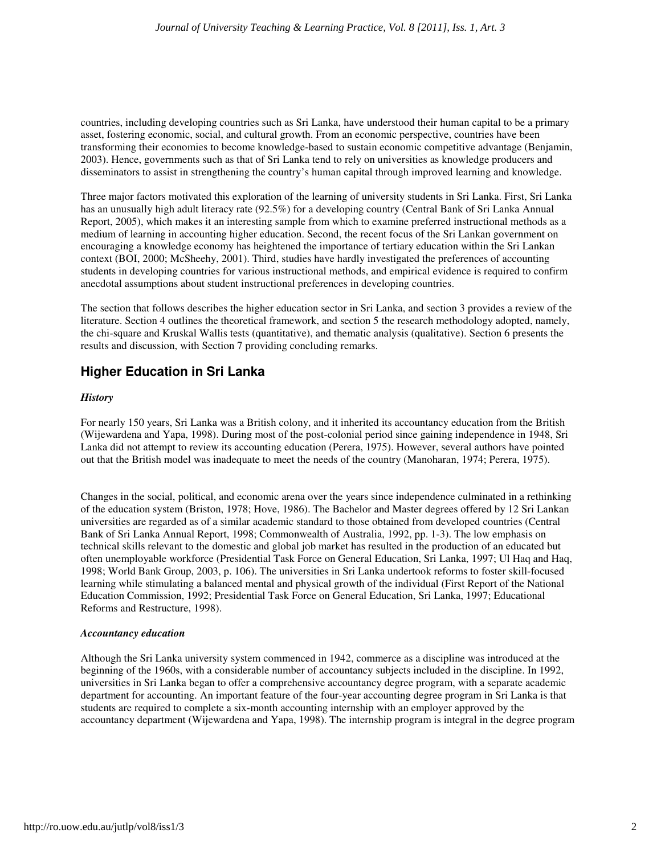countries, including developing countries such as Sri Lanka, have understood their human capital to be a primary asset, fostering economic, social, and cultural growth. From an economic perspective, countries have been transforming their economies to become knowledge-based to sustain economic competitive advantage (Benjamin, 2003). Hence, governments such as that of Sri Lanka tend to rely on universities as knowledge producers and disseminators to assist in strengthening the country's human capital through improved learning and knowledge.

Three major factors motivated this exploration of the learning of university students in Sri Lanka. First, Sri Lanka has an unusually high adult literacy rate (92.5%) for a developing country (Central Bank of Sri Lanka Annual Report, 2005), which makes it an interesting sample from which to examine preferred instructional methods as a medium of learning in accounting higher education. Second, the recent focus of the Sri Lankan government on encouraging a knowledge economy has heightened the importance of tertiary education within the Sri Lankan context (BOI, 2000; McSheehy, 2001). Third, studies have hardly investigated the preferences of accounting students in developing countries for various instructional methods, and empirical evidence is required to confirm anecdotal assumptions about student instructional preferences in developing countries.

The section that follows describes the higher education sector in Sri Lanka, and section 3 provides a review of the literature. Section 4 outlines the theoretical framework, and section 5 the research methodology adopted, namely, the chi-square and Kruskal Wallis tests (quantitative), and thematic analysis (qualitative). Section 6 presents the results and discussion, with Section 7 providing concluding remarks.

## **Higher Education in Sri Lanka**

#### *History*

For nearly 150 years, Sri Lanka was a British colony, and it inherited its accountancy education from the British (Wijewardena and Yapa, 1998). During most of the post-colonial period since gaining independence in 1948, Sri Lanka did not attempt to review its accounting education (Perera, 1975). However, several authors have pointed out that the British model was inadequate to meet the needs of the country (Manoharan, 1974; Perera, 1975).

Changes in the social, political, and economic arena over the years since independence culminated in a rethinking of the education system (Briston, 1978; Hove, 1986). The Bachelor and Master degrees offered by 12 Sri Lankan universities are regarded as of a similar academic standard to those obtained from developed countries (Central Bank of Sri Lanka Annual Report, 1998; Commonwealth of Australia, 1992, pp. 1-3). The low emphasis on technical skills relevant to the domestic and global job market has resulted in the production of an educated but often unemployable workforce (Presidential Task Force on General Education, Sri Lanka, 1997; Ul Haq and Haq, 1998; World Bank Group, 2003, p. 106). The universities in Sri Lanka undertook reforms to foster skill-focused learning while stimulating a balanced mental and physical growth of the individual (First Report of the National Education Commission, 1992; Presidential Task Force on General Education, Sri Lanka, 1997; Educational Reforms and Restructure, 1998).

#### *Accountancy education*

Although the Sri Lanka university system commenced in 1942, commerce as a discipline was introduced at the beginning of the 1960s, with a considerable number of accountancy subjects included in the discipline. In 1992, universities in Sri Lanka began to offer a comprehensive accountancy degree program, with a separate academic department for accounting. An important feature of the four-year accounting degree program in Sri Lanka is that students are required to complete a six-month accounting internship with an employer approved by the accountancy department (Wijewardena and Yapa, 1998). The internship program is integral in the degree program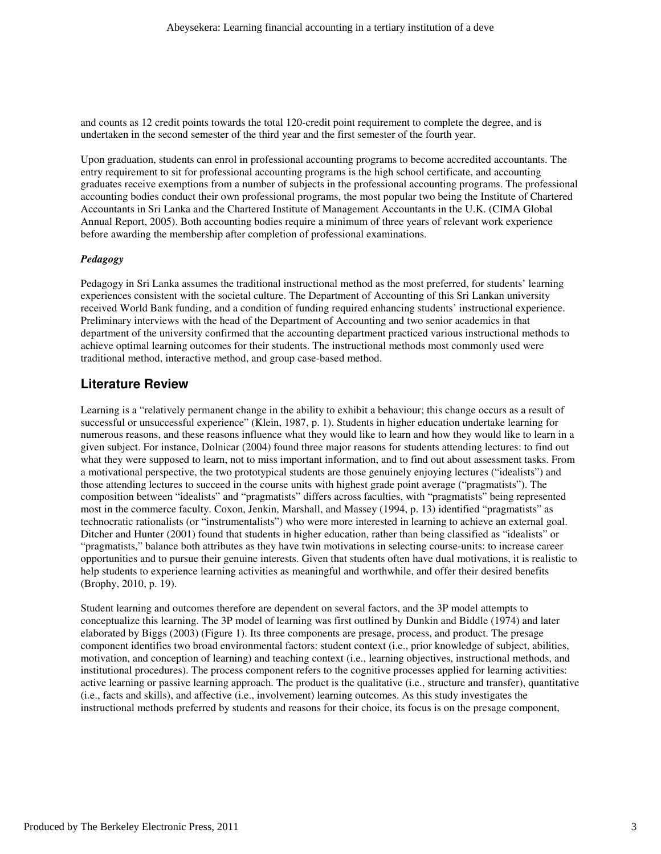and counts as 12 credit points towards the total 120-credit point requirement to complete the degree, and is undertaken in the second semester of the third year and the first semester of the fourth year.

Upon graduation, students can enrol in professional accounting programs to become accredited accountants. The entry requirement to sit for professional accounting programs is the high school certificate, and accounting graduates receive exemptions from a number of subjects in the professional accounting programs. The professional accounting bodies conduct their own professional programs, the most popular two being the Institute of Chartered Accountants in Sri Lanka and the Chartered Institute of Management Accountants in the U.K. (CIMA Global Annual Report, 2005). Both accounting bodies require a minimum of three years of relevant work experience before awarding the membership after completion of professional examinations.

#### *Pedagogy*

Pedagogy in Sri Lanka assumes the traditional instructional method as the most preferred, for students' learning experiences consistent with the societal culture. The Department of Accounting of this Sri Lankan university received World Bank funding, and a condition of funding required enhancing students' instructional experience. Preliminary interviews with the head of the Department of Accounting and two senior academics in that department of the university confirmed that the accounting department practiced various instructional methods to achieve optimal learning outcomes for their students. The instructional methods most commonly used were traditional method, interactive method, and group case-based method.

## **Literature Review**

Learning is a "relatively permanent change in the ability to exhibit a behaviour; this change occurs as a result of successful or unsuccessful experience" (Klein, 1987, p. 1). Students in higher education undertake learning for numerous reasons, and these reasons influence what they would like to learn and how they would like to learn in a given subject. For instance, Dolnicar (2004) found three major reasons for students attending lectures: to find out what they were supposed to learn, not to miss important information, and to find out about assessment tasks. From a motivational perspective, the two prototypical students are those genuinely enjoying lectures ("idealists") and those attending lectures to succeed in the course units with highest grade point average ("pragmatists"). The composition between "idealists" and "pragmatists" differs across faculties, with "pragmatists" being represented most in the commerce faculty. Coxon, Jenkin, Marshall, and Massey (1994, p. 13) identified "pragmatists" as technocratic rationalists (or "instrumentalists") who were more interested in learning to achieve an external goal. Ditcher and Hunter (2001) found that students in higher education, rather than being classified as "idealists" or "pragmatists," balance both attributes as they have twin motivations in selecting course-units: to increase career opportunities and to pursue their genuine interests. Given that students often have dual motivations, it is realistic to help students to experience learning activities as meaningful and worthwhile, and offer their desired benefits (Brophy, 2010, p. 19).

Student learning and outcomes therefore are dependent on several factors, and the 3P model attempts to conceptualize this learning. The 3P model of learning was first outlined by Dunkin and Biddle (1974) and later elaborated by Biggs (2003) (Figure 1). Its three components are presage, process, and product. The presage component identifies two broad environmental factors: student context (i.e., prior knowledge of subject, abilities, motivation, and conception of learning) and teaching context (i.e., learning objectives, instructional methods, and institutional procedures). The process component refers to the cognitive processes applied for learning activities: active learning or passive learning approach. The product is the qualitative (i.e., structure and transfer), quantitative (i.e., facts and skills), and affective (i.e., involvement) learning outcomes. As this study investigates the instructional methods preferred by students and reasons for their choice, its focus is on the presage component,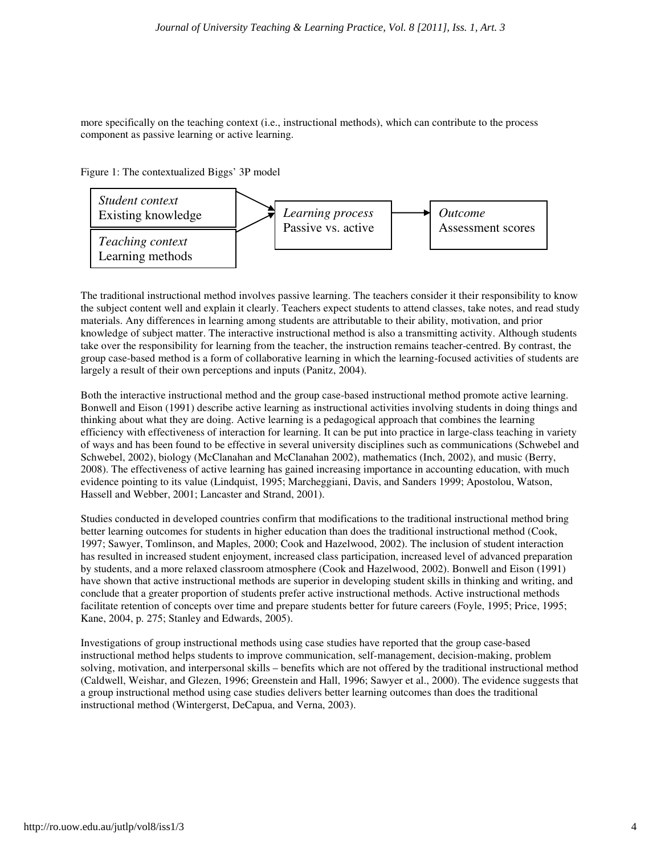more specifically on the teaching context (i.e., instructional methods), which can contribute to the process component as passive learning or active learning.





The traditional instructional method involves passive learning. The teachers consider it their responsibility to know the subject content well and explain it clearly. Teachers expect students to attend classes, take notes, and read study materials. Any differences in learning among students are attributable to their ability, motivation, and prior knowledge of subject matter. The interactive instructional method is also a transmitting activity. Although students take over the responsibility for learning from the teacher, the instruction remains teacher-centred. By contrast, the group case-based method is a form of collaborative learning in which the learning-focused activities of students are largely a result of their own perceptions and inputs (Panitz, 2004).

Both the interactive instructional method and the group case-based instructional method promote active learning. Bonwell and Eison (1991) describe active learning as instructional activities involving students in doing things and thinking about what they are doing. Active learning is a pedagogical approach that combines the learning efficiency with effectiveness of interaction for learning. It can be put into practice in large-class teaching in variety of ways and has been found to be effective in several university disciplines such as communications (Schwebel and Schwebel, 2002), biology (McClanahan and McClanahan 2002), mathematics (Inch, 2002), and music (Berry, 2008). The effectiveness of active learning has gained increasing importance in accounting education, with much evidence pointing to its value (Lindquist, 1995; Marcheggiani, Davis, and Sanders 1999; Apostolou, Watson, Hassell and Webber, 2001; Lancaster and Strand, 2001).

Studies conducted in developed countries confirm that modifications to the traditional instructional method bring better learning outcomes for students in higher education than does the traditional instructional method (Cook, 1997; Sawyer, Tomlinson, and Maples, 2000; Cook and Hazelwood, 2002). The inclusion of student interaction has resulted in increased student enjoyment, increased class participation, increased level of advanced preparation by students, and a more relaxed classroom atmosphere (Cook and Hazelwood, 2002). Bonwell and Eison (1991) have shown that active instructional methods are superior in developing student skills in thinking and writing, and conclude that a greater proportion of students prefer active instructional methods. Active instructional methods facilitate retention of concepts over time and prepare students better for future careers (Foyle, 1995; Price, 1995; Kane, 2004, p. 275; Stanley and Edwards, 2005).

Investigations of group instructional methods using case studies have reported that the group case-based instructional method helps students to improve communication, self-management, decision-making, problem solving, motivation, and interpersonal skills – benefits which are not offered by the traditional instructional method (Caldwell, Weishar, and Glezen, 1996; Greenstein and Hall, 1996; Sawyer et al., 2000). The evidence suggests that a group instructional method using case studies delivers better learning outcomes than does the traditional instructional method (Wintergerst, DeCapua, and Verna, 2003).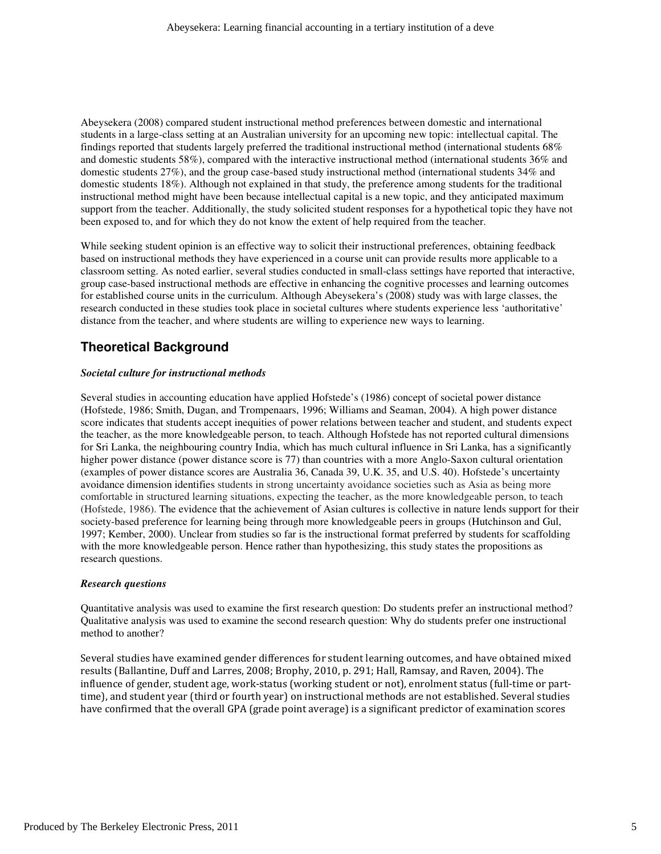Abeysekera (2008) compared student instructional method preferences between domestic and international students in a large-class setting at an Australian university for an upcoming new topic: intellectual capital. The findings reported that students largely preferred the traditional instructional method (international students 68% and domestic students 58%), compared with the interactive instructional method (international students 36% and domestic students 27%), and the group case-based study instructional method (international students 34% and domestic students 18%). Although not explained in that study, the preference among students for the traditional instructional method might have been because intellectual capital is a new topic, and they anticipated maximum support from the teacher. Additionally, the study solicited student responses for a hypothetical topic they have not been exposed to, and for which they do not know the extent of help required from the teacher.

While seeking student opinion is an effective way to solicit their instructional preferences, obtaining feedback based on instructional methods they have experienced in a course unit can provide results more applicable to a classroom setting. As noted earlier, several studies conducted in small-class settings have reported that interactive, group case-based instructional methods are effective in enhancing the cognitive processes and learning outcomes for established course units in the curriculum. Although Abeysekera's (2008) study was with large classes, the research conducted in these studies took place in societal cultures where students experience less 'authoritative' distance from the teacher, and where students are willing to experience new ways to learning.

## **Theoretical Background**

#### *Societal culture for instructional methods*

Several studies in accounting education have applied Hofstede's (1986) concept of societal power distance (Hofstede, 1986; Smith, Dugan, and Trompenaars, 1996; Williams and Seaman, 2004). A high power distance score indicates that students accept inequities of power relations between teacher and student, and students expect the teacher, as the more knowledgeable person, to teach. Although Hofstede has not reported cultural dimensions for Sri Lanka, the neighbouring country India, which has much cultural influence in Sri Lanka, has a significantly higher power distance (power distance score is 77) than countries with a more Anglo-Saxon cultural orientation (examples of power distance scores are Australia 36, Canada 39, U.K. 35, and U.S. 40). Hofstede's uncertainty avoidance dimension identifies students in strong uncertainty avoidance societies such as Asia as being more comfortable in structured learning situations, expecting the teacher, as the more knowledgeable person, to teach (Hofstede, 1986). The evidence that the achievement of Asian cultures is collective in nature lends support for their society-based preference for learning being through more knowledgeable peers in groups (Hutchinson and Gul, 1997; Kember, 2000). Unclear from studies so far is the instructional format preferred by students for scaffolding with the more knowledgeable person. Hence rather than hypothesizing, this study states the propositions as research questions.

#### *Research questions*

Quantitative analysis was used to examine the first research question: Do students prefer an instructional method? Qualitative analysis was used to examine the second research question: Why do students prefer one instructional method to another?

Several studies have examined gender differences for student learning outcomes, and have obtained mixed results (Ballantine, Duff and Larres, 2008; Brophy, 2010, p. 291; Hall, Ramsay, and Raven, 2004). The influence of gender, student age, work-status (working student or not), enrolment status (full-time or parttime), and student year (third or fourth year) on instructional methods are not established. Several studies have confirmed that the overall GPA (grade point average) is a significant predictor of examination scores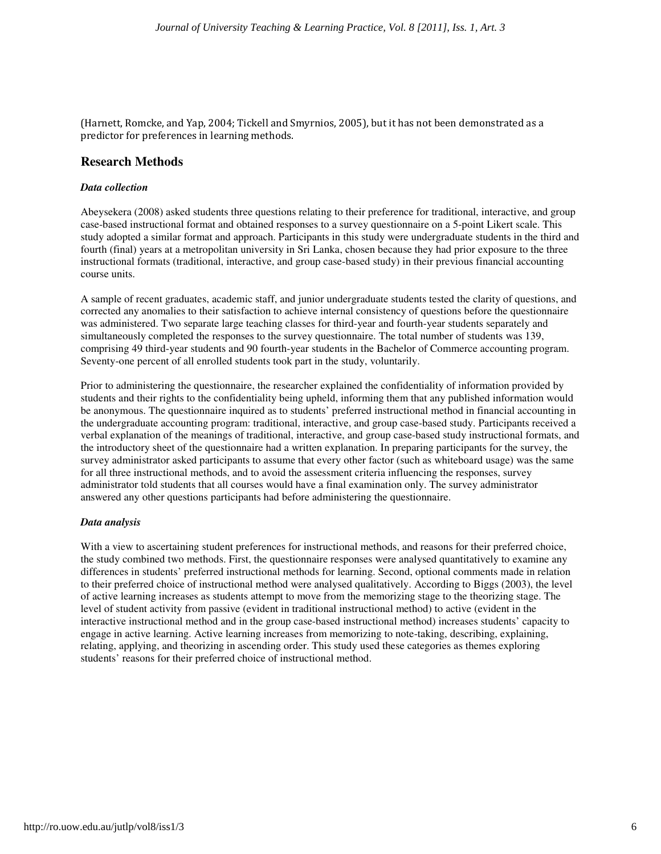(Harnett, Romcke, and Yap, 2004; Tickell and Smyrnios, 2005), but it has not been demonstrated as a predictor for preferences in learning methods.

#### **Research Methods**

#### *Data collection*

Abeysekera (2008) asked students three questions relating to their preference for traditional, interactive, and group case-based instructional format and obtained responses to a survey questionnaire on a 5-point Likert scale. This study adopted a similar format and approach. Participants in this study were undergraduate students in the third and fourth (final) years at a metropolitan university in Sri Lanka, chosen because they had prior exposure to the three instructional formats (traditional, interactive, and group case-based study) in their previous financial accounting course units.

A sample of recent graduates, academic staff, and junior undergraduate students tested the clarity of questions, and corrected any anomalies to their satisfaction to achieve internal consistency of questions before the questionnaire was administered. Two separate large teaching classes for third-year and fourth-year students separately and simultaneously completed the responses to the survey questionnaire. The total number of students was 139, comprising 49 third-year students and 90 fourth-year students in the Bachelor of Commerce accounting program. Seventy-one percent of all enrolled students took part in the study, voluntarily.

Prior to administering the questionnaire, the researcher explained the confidentiality of information provided by students and their rights to the confidentiality being upheld, informing them that any published information would be anonymous. The questionnaire inquired as to students' preferred instructional method in financial accounting in the undergraduate accounting program: traditional, interactive, and group case-based study. Participants received a verbal explanation of the meanings of traditional, interactive, and group case-based study instructional formats, and the introductory sheet of the questionnaire had a written explanation. In preparing participants for the survey, the survey administrator asked participants to assume that every other factor (such as whiteboard usage) was the same for all three instructional methods, and to avoid the assessment criteria influencing the responses, survey administrator told students that all courses would have a final examination only. The survey administrator answered any other questions participants had before administering the questionnaire.

#### *Data analysis*

With a view to ascertaining student preferences for instructional methods, and reasons for their preferred choice, the study combined two methods. First, the questionnaire responses were analysed quantitatively to examine any differences in students' preferred instructional methods for learning. Second, optional comments made in relation to their preferred choice of instructional method were analysed qualitatively. According to Biggs (2003), the level of active learning increases as students attempt to move from the memorizing stage to the theorizing stage. The level of student activity from passive (evident in traditional instructional method) to active (evident in the interactive instructional method and in the group case-based instructional method) increases students' capacity to engage in active learning. Active learning increases from memorizing to note-taking, describing, explaining, relating, applying, and theorizing in ascending order. This study used these categories as themes exploring students' reasons for their preferred choice of instructional method.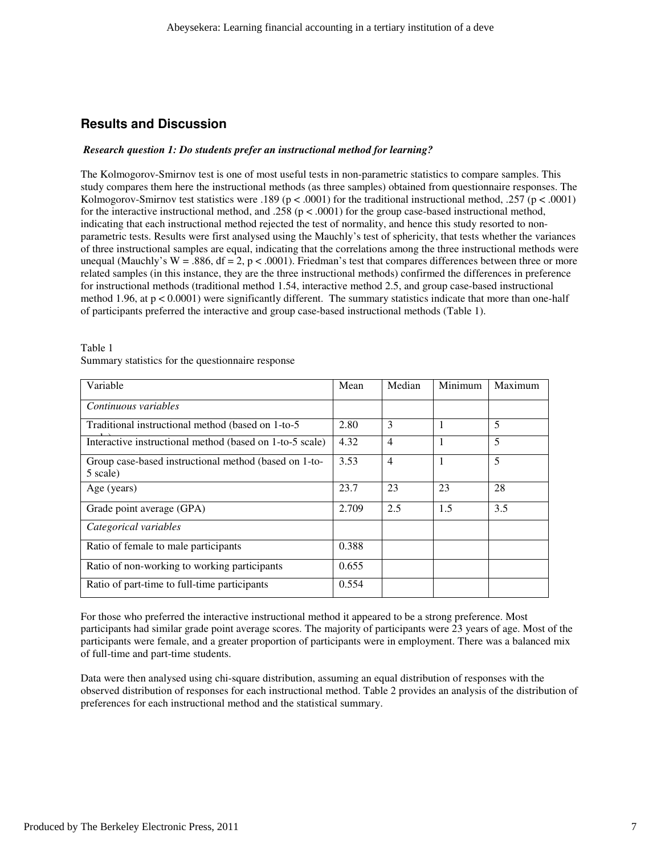## **Results and Discussion**

#### *Research question 1: Do students prefer an instructional method for learning?*

The Kolmogorov-Smirnov test is one of most useful tests in non-parametric statistics to compare samples. This study compares them here the instructional methods (as three samples) obtained from questionnaire responses. The Kolmogorov-Smirnov test statistics were .189 ( $p < .0001$ ) for the traditional instructional method, .257 ( $p < .0001$ ) for the interactive instructional method, and .258 ( $p < .0001$ ) for the group case-based instructional method, indicating that each instructional method rejected the test of normality, and hence this study resorted to nonparametric tests. Results were first analysed using the Mauchly's test of sphericity, that tests whether the variances of three instructional samples are equal, indicating that the correlations among the three instructional methods were unequal (Mauchly's W = .886, df = 2, p < .0001). Friedman's test that compares differences between three or more related samples (in this instance, they are the three instructional methods) confirmed the differences in preference for instructional methods (traditional method 1.54, interactive method 2.5, and group case-based instructional method 1.96, at p < 0.0001) were significantly different. The summary statistics indicate that more than one-half of participants preferred the interactive and group case-based instructional methods (Table 1).

| Table 1                                           |
|---------------------------------------------------|
| Summary statistics for the questionnaire response |

| Variable                                                          | Mean  | Median         | Minimum | Maximum |
|-------------------------------------------------------------------|-------|----------------|---------|---------|
| Continuous variables                                              |       |                |         |         |
| Traditional instructional method (based on 1-to-5)                | 2.80  | 3              | -1      | 5       |
| Interactive instructional method (based on 1-to-5 scale)          | 4.32  | $\overline{4}$ |         | 5       |
| Group case-based instructional method (based on 1-to-<br>5 scale) | 3.53  | $\overline{4}$ | 1       | 5       |
| Age (years)                                                       | 23.7  | 23             | 23      | 28      |
| Grade point average (GPA)                                         | 2.709 | 2.5            | 1.5     | 3.5     |
| Categorical variables                                             |       |                |         |         |
| Ratio of female to male participants                              | 0.388 |                |         |         |
| Ratio of non-working to working participants                      | 0.655 |                |         |         |
| Ratio of part-time to full-time participants                      | 0.554 |                |         |         |

For those who preferred the interactive instructional method it appeared to be a strong preference. Most participants had similar grade point average scores. The majority of participants were 23 years of age. Most of the participants were female, and a greater proportion of participants were in employment. There was a balanced mix of full-time and part-time students.

Data were then analysed using chi-square distribution, assuming an equal distribution of responses with the observed distribution of responses for each instructional method. Table 2 provides an analysis of the distribution of preferences for each instructional method and the statistical summary.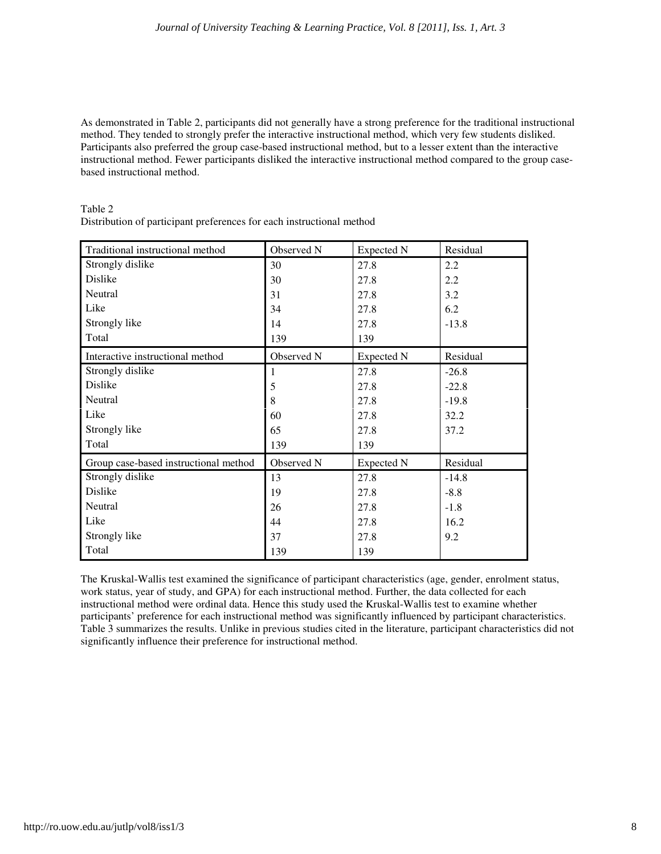As demonstrated in Table 2, participants did not generally have a strong preference for the traditional instructional method. They tended to strongly prefer the interactive instructional method, which very few students disliked. Participants also preferred the group case-based instructional method, but to a lesser extent than the interactive instructional method. Fewer participants disliked the interactive instructional method compared to the group casebased instructional method.

| Traditional instructional method      | Observed N | Expected N | Residual |
|---------------------------------------|------------|------------|----------|
| Strongly dislike                      | 30         | 27.8       | 2.2      |
| Dislike                               | 30         | 27.8       | 2.2      |
| Neutral                               | 31         | 27.8       | 3.2      |
| Like                                  | 34         | 27.8       | 6.2      |
| Strongly like                         | 14         | 27.8       | $-13.8$  |
| Total                                 | 139        | 139        |          |
| Interactive instructional method      | Observed N | Expected N | Residual |
| Strongly dislike                      | 1          | 27.8       | $-26.8$  |
| Dislike                               | 5          | 27.8       | $-22.8$  |
| Neutral                               | 8          | 27.8       | $-19.8$  |
| Like                                  | 60         | 27.8       | 32.2     |
| Strongly like                         | 65         | 27.8       | 37.2     |
| Total                                 | 139        | 139        |          |
| Group case-based instructional method | Observed N | Expected N | Residual |
| Strongly dislike                      | 13         | 27.8       | $-14.8$  |
| Dislike                               | 19         | 27.8       | $-8.8$   |
| Neutral                               | 26         | 27.8       | $-1.8$   |
| Like                                  | 44         | 27.8       | 16.2     |
| Strongly like                         | 37         | 27.8       | 9.2      |
| Total                                 | 139        | 139        |          |

Table 2

Distribution of participant preferences for each instructional method

The Kruskal-Wallis test examined the significance of participant characteristics (age, gender, enrolment status, work status, year of study, and GPA) for each instructional method. Further, the data collected for each instructional method were ordinal data. Hence this study used the Kruskal-Wallis test to examine whether participants' preference for each instructional method was significantly influenced by participant characteristics. Table 3 summarizes the results. Unlike in previous studies cited in the literature, participant characteristics did not significantly influence their preference for instructional method.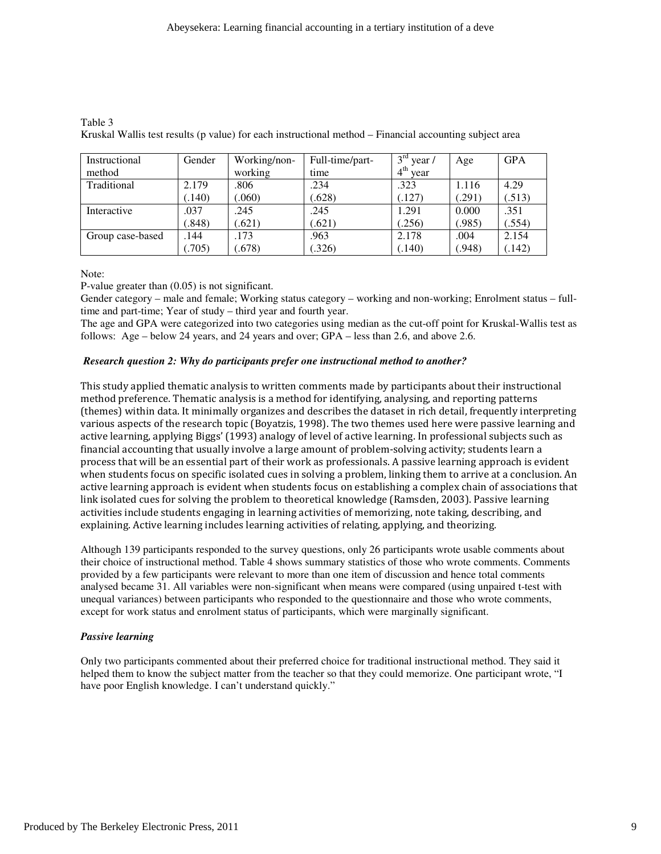| Instructional    | Gender | Working/non- | Full-time/part- | $3^{\text{rd}}$ year /  | Age   | <b>GPA</b> |
|------------------|--------|--------------|-----------------|-------------------------|-------|------------|
| method           |        | working      | time            | 4 <sup>th</sup><br>vear |       |            |
| Traditional      | 2.179  | .806         | .234            | .323                    | 1.116 | 4.29       |
|                  | (.140) | (.060)       | (.628)          | (.127)                  | (291) | (.513)     |
| Interactive      | .037   | .245         | .245            | 1.291                   | 0.000 | .351       |
|                  | (.848) | (.621)       | (.621)          | (.256)                  | .985) | .554)      |
| Group case-based | .144   | .173         | .963            | 2.178                   | .004  | 2.154      |
|                  | .705)  | (.678)       | (.326)          | (.140)                  | .948) | (.142)     |

Table 3 Kruskal Wallis test results (p value) for each instructional method – Financial accounting subject area

Note:

P-value greater than (0.05) is not significant.

Gender category – male and female; Working status category – working and non-working; Enrolment status – fulltime and part-time; Year of study – third year and fourth year.

The age and GPA were categorized into two categories using median as the cut-off point for Kruskal-Wallis test as follows: Age – below 24 years, and 24 years and over; GPA – less than 2.6, and above 2.6.

#### *Research question 2: Why do participants prefer one instructional method to another?*

This study applied thematic analysis to written comments made by participants about their instructional method preference. Thematic analysis is a method for identifying, analysing, and reporting patterns (themes) within data. It minimally organizes and describes the dataset in rich detail, frequently interpreting various aspects of the research topic (Boyatzis, 1998). The two themes used here were passive learning and active learning, applying Biggs' (1993) analogy of level of active learning. In professional subjects such as financial accounting that usually involve a large amount of problem-solving activity; students learn a process that will be an essential part of their work as professionals. A passive learning approach is evident when students focus on specific isolated cues in solving a problem, linking them to arrive at a conclusion. An active learning approach is evident when students focus on establishing a complex chain of associations that link isolated cues for solving the problem to theoretical knowledge (Ramsden, 2003). Passive learning activities include students engaging in learning activities of memorizing, note taking, describing, and explaining. Active learning includes learning activities of relating, applying, and theorizing.

Although 139 participants responded to the survey questions, only 26 participants wrote usable comments about their choice of instructional method. Table 4 shows summary statistics of those who wrote comments. Comments provided by a few participants were relevant to more than one item of discussion and hence total comments analysed became 31. All variables were non-significant when means were compared (using unpaired t-test with unequal variances) between participants who responded to the questionnaire and those who wrote comments, except for work status and enrolment status of participants, which were marginally significant.

#### *Passive learning*

Only two participants commented about their preferred choice for traditional instructional method. They said it helped them to know the subject matter from the teacher so that they could memorize. One participant wrote, "I have poor English knowledge. I can't understand quickly."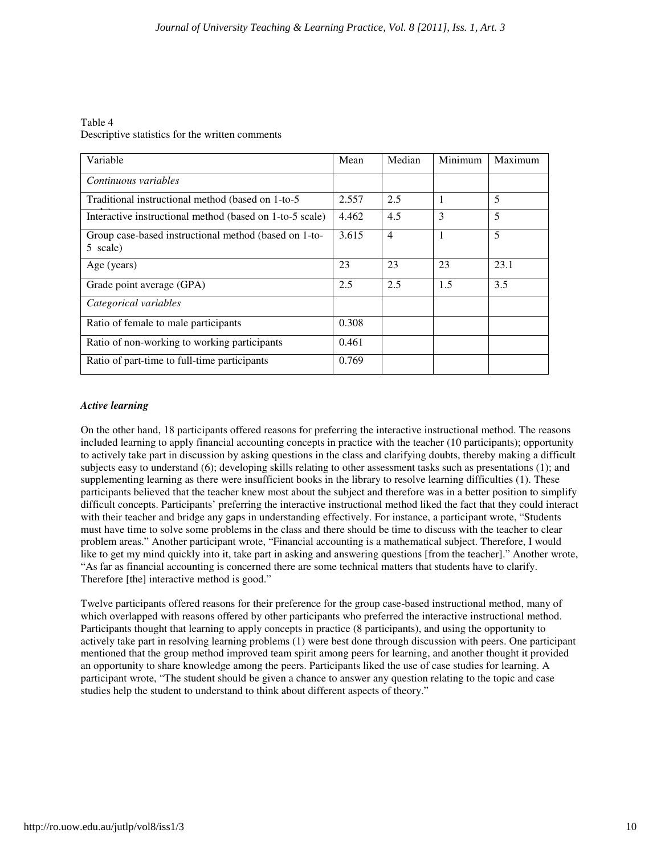Table 4 Descriptive statistics for the written comments

| Variable                                                          | Mean  | Median         | Minimum      | Maximum |
|-------------------------------------------------------------------|-------|----------------|--------------|---------|
| Continuous variables                                              |       |                |              |         |
| Traditional instructional method (based on 1-to-5)                | 2.557 | 2.5            | $\mathbf{1}$ | 5       |
| Interactive instructional method (based on 1-to-5 scale)          | 4.462 | 4.5            | 3            | 5       |
| Group case-based instructional method (based on 1-to-<br>5 scale) | 3.615 | $\overline{4}$ | $\mathbf{1}$ | 5       |
| Age (years)                                                       | 23    | 23             | 23           | 23.1    |
| Grade point average (GPA)                                         | 2.5   | 2.5            | 1.5          | 3.5     |
| Categorical variables                                             |       |                |              |         |
| Ratio of female to male participants                              | 0.308 |                |              |         |
| Ratio of non-working to working participants                      | 0.461 |                |              |         |
| Ratio of part-time to full-time participants                      | 0.769 |                |              |         |

#### *Active learning*

On the other hand, 18 participants offered reasons for preferring the interactive instructional method. The reasons included learning to apply financial accounting concepts in practice with the teacher (10 participants); opportunity to actively take part in discussion by asking questions in the class and clarifying doubts, thereby making a difficult subjects easy to understand (6); developing skills relating to other assessment tasks such as presentations (1); and supplementing learning as there were insufficient books in the library to resolve learning difficulties (1). These participants believed that the teacher knew most about the subject and therefore was in a better position to simplify difficult concepts. Participants' preferring the interactive instructional method liked the fact that they could interact with their teacher and bridge any gaps in understanding effectively. For instance, a participant wrote, "Students must have time to solve some problems in the class and there should be time to discuss with the teacher to clear problem areas." Another participant wrote, "Financial accounting is a mathematical subject. Therefore, I would like to get my mind quickly into it, take part in asking and answering questions [from the teacher]." Another wrote, "As far as financial accounting is concerned there are some technical matters that students have to clarify. Therefore [the] interactive method is good."

Twelve participants offered reasons for their preference for the group case-based instructional method, many of which overlapped with reasons offered by other participants who preferred the interactive instructional method. Participants thought that learning to apply concepts in practice (8 participants), and using the opportunity to actively take part in resolving learning problems (1) were best done through discussion with peers. One participant mentioned that the group method improved team spirit among peers for learning, and another thought it provided an opportunity to share knowledge among the peers. Participants liked the use of case studies for learning. A participant wrote, "The student should be given a chance to answer any question relating to the topic and case studies help the student to understand to think about different aspects of theory."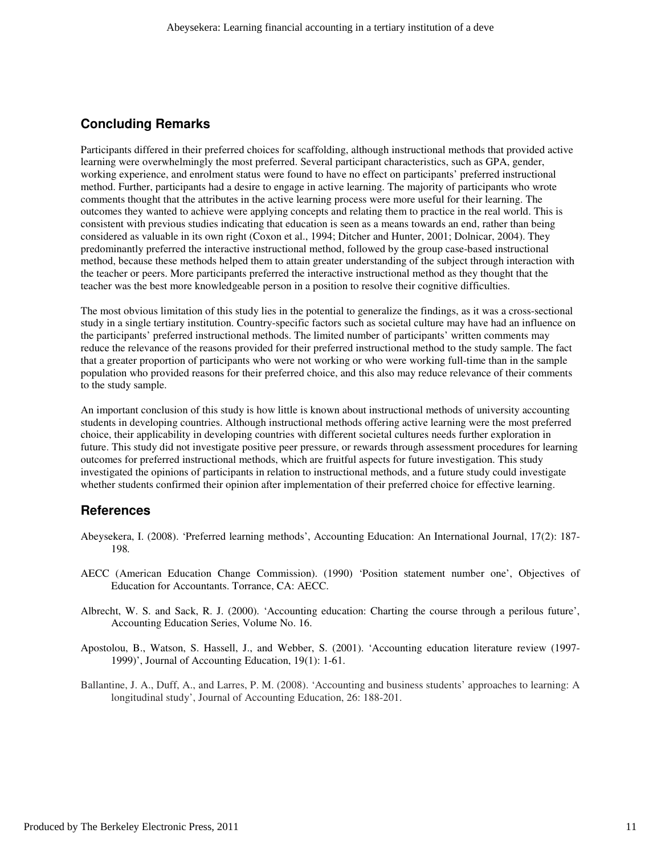## **Concluding Remarks**

Participants differed in their preferred choices for scaffolding, although instructional methods that provided active learning were overwhelmingly the most preferred. Several participant characteristics, such as GPA, gender, working experience, and enrolment status were found to have no effect on participants' preferred instructional method. Further, participants had a desire to engage in active learning. The majority of participants who wrote comments thought that the attributes in the active learning process were more useful for their learning. The outcomes they wanted to achieve were applying concepts and relating them to practice in the real world. This is consistent with previous studies indicating that education is seen as a means towards an end, rather than being considered as valuable in its own right (Coxon et al., 1994; Ditcher and Hunter, 2001; Dolnicar, 2004). They predominantly preferred the interactive instructional method, followed by the group case-based instructional method, because these methods helped them to attain greater understanding of the subject through interaction with the teacher or peers. More participants preferred the interactive instructional method as they thought that the teacher was the best more knowledgeable person in a position to resolve their cognitive difficulties.

The most obvious limitation of this study lies in the potential to generalize the findings, as it was a cross-sectional study in a single tertiary institution. Country-specific factors such as societal culture may have had an influence on the participants' preferred instructional methods. The limited number of participants' written comments may reduce the relevance of the reasons provided for their preferred instructional method to the study sample. The fact that a greater proportion of participants who were not working or who were working full-time than in the sample population who provided reasons for their preferred choice, and this also may reduce relevance of their comments to the study sample.

An important conclusion of this study is how little is known about instructional methods of university accounting students in developing countries. Although instructional methods offering active learning were the most preferred choice, their applicability in developing countries with different societal cultures needs further exploration in future. This study did not investigate positive peer pressure, or rewards through assessment procedures for learning outcomes for preferred instructional methods, which are fruitful aspects for future investigation. This study investigated the opinions of participants in relation to instructional methods, and a future study could investigate whether students confirmed their opinion after implementation of their preferred choice for effective learning.

## **References**

- Abeysekera, I. (2008). 'Preferred learning methods', Accounting Education: An International Journal, 17(2): 187- 198*.*
- AECC (American Education Change Commission). (1990) 'Position statement number one', Objectives of Education for Accountants. Torrance, CA: AECC.
- Albrecht, W. S. and Sack, R. J. (2000). 'Accounting education: Charting the course through a perilous future', Accounting Education Series, Volume No. 16.
- Apostolou, B., Watson, S. Hassell, J., and Webber, S. (2001). 'Accounting education literature review (1997- 1999)', Journal of Accounting Education, 19(1): 1-61.
- Ballantine, J. A., Duff, A., and Larres, P. M. (2008). 'Accounting and business students' approaches to learning: A longitudinal study', Journal of Accounting Education, 26: 188-201.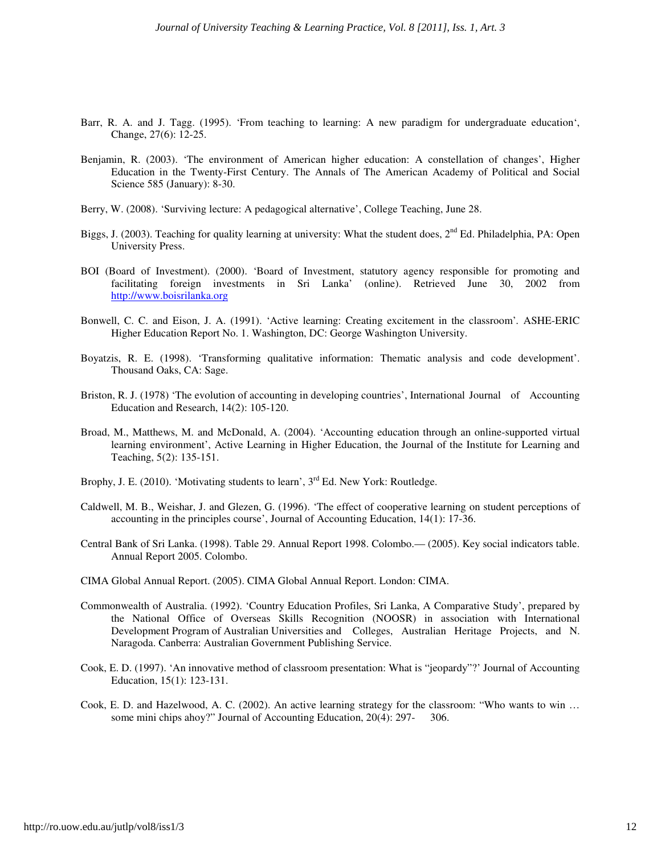- Barr, R. A. and J. Tagg. (1995). 'From teaching to learning: A new paradigm for undergraduate education', Change, 27(6): 12-25.
- Benjamin, R. (2003). 'The environment of American higher education: A constellation of changes', Higher Education in the Twenty-First Century. The Annals of The American Academy of Political and Social Science 585 (January): 8-30.
- Berry, W. (2008). 'Surviving lecture: A pedagogical alternative', College Teaching, June 28.
- Biggs, J. (2003). Teaching for quality learning at university: What the student does, 2<sup>nd</sup> Ed. Philadelphia, PA: Open University Press.
- BOI (Board of Investment). (2000). 'Board of Investment, statutory agency responsible for promoting and facilitating foreign investments in Sri Lanka' (online). Retrieved June 30, 2002 from http://www.boisrilanka.org
- Bonwell, C. C. and Eison, J. A. (1991). 'Active learning: Creating excitement in the classroom'*.* ASHE-ERIC Higher Education Report No. 1. Washington, DC: George Washington University.
- Boyatzis, R. E. (1998). 'Transforming qualitative information: Thematic analysis and code development'. Thousand Oaks, CA: Sage.
- Briston, R. J. (1978) 'The evolution of accounting in developing countries', International Journal of Accounting Education and Research, 14(2): 105-120.
- Broad, M., Matthews, M. and McDonald, A. (2004). 'Accounting education through an online-supported virtual learning environment', Active Learning in Higher Education, the Journal of the Institute for Learning and Teaching, 5(2): 135-151.
- Brophy, J. E. (2010). 'Motivating students to learn',  $3^{rd}$  Ed. New York: Routledge.
- Caldwell, M. B., Weishar, J. and Glezen, G. (1996). 'The effect of cooperative learning on student perceptions of accounting in the principles course', Journal of Accounting Education, 14(1): 17-36.
- Central Bank of Sri Lanka. (1998). Table 29. Annual Report 1998. Colombo.— (2005). Key social indicators table. Annual Report 2005. Colombo.
- CIMA Global Annual Report. (2005). CIMA Global Annual Report. London: CIMA.
- Commonwealth of Australia. (1992). 'Country Education Profiles, Sri Lanka, A Comparative Study', prepared by the National Office of Overseas Skills Recognition (NOOSR) in association with International Development Program of Australian Universities and Colleges, Australian Heritage Projects, and N. Naragoda. Canberra: Australian Government Publishing Service.
- Cook, E. D. (1997). 'An innovative method of classroom presentation: What is "jeopardy"?' Journal of Accounting Education, 15(1): 123-131.
- Cook, E. D. and Hazelwood, A. C. (2002). An active learning strategy for the classroom: "Who wants to win … some mini chips ahoy?" Journal of Accounting Education, 20(4): 297- 306.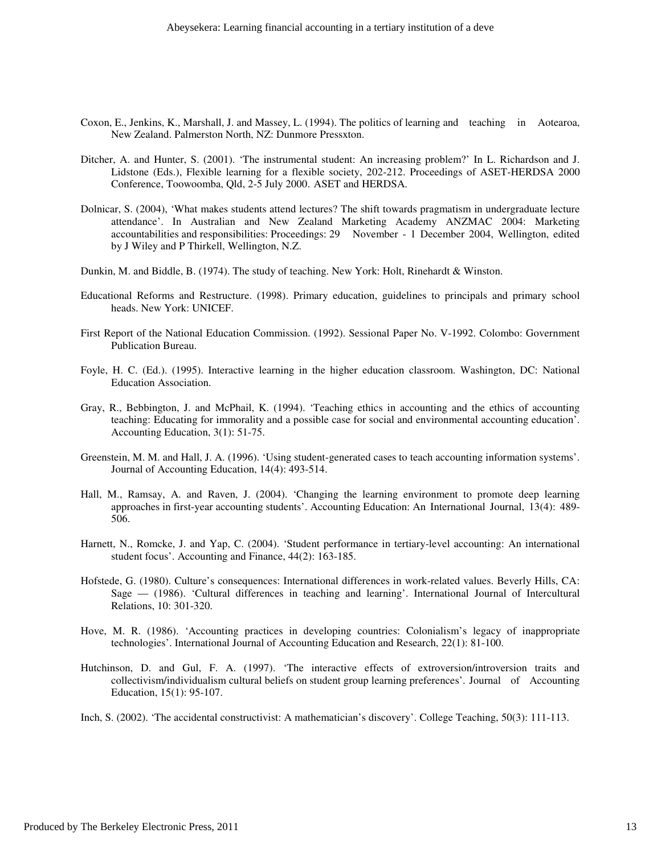- Coxon, E., Jenkins, K., Marshall, J. and Massey, L. (1994). The politics of learning and teaching in Aotearoa, New Zealand. Palmerston North, NZ: Dunmore Pressxton.
- Ditcher, A. and Hunter, S. (2001). 'The instrumental student: An increasing problem?' In L. Richardson and J. Lidstone (Eds.), Flexible learning for a flexible society, 202-212. Proceedings of ASET-HERDSA 2000 Conference, Toowoomba, Qld, 2-5 July 2000. ASET and HERDSA.
- Dolnicar, S. (2004), 'What makes students attend lectures? The shift towards pragmatism in undergraduate lecture attendance'. In Australian and New Zealand Marketing Academy ANZMAC 2004: Marketing accountabilities and responsibilities: Proceedings: 29 November - 1 December 2004, Wellington, edited by J Wiley and P Thirkell, Wellington, N.Z.
- Dunkin, M. and Biddle, B. (1974). The study of teaching. New York: Holt, Rinehardt & Winston.
- Educational Reforms and Restructure. (1998). Primary education, guidelines to principals and primary school heads. New York: UNICEF.
- First Report of the National Education Commission. (1992). Sessional Paper No. V-1992. Colombo: Government Publication Bureau.
- Foyle, H. C. (Ed.). (1995). Interactive learning in the higher education classroom. Washington, DC: National Education Association.
- Gray, R., Bebbington, J. and McPhail, K. (1994). 'Teaching ethics in accounting and the ethics of accounting teaching: Educating for immorality and a possible case for social and environmental accounting education'. Accounting Education, 3(1): 51-75.
- Greenstein, M. M. and Hall, J. A. (1996). 'Using student-generated cases to teach accounting information systems'. Journal of Accounting Education, 14(4): 493-514.
- Hall, M., Ramsay, A. and Raven, J. (2004). 'Changing the learning environment to promote deep learning approaches in first-year accounting students'. Accounting Education: An International Journal, 13(4): 489- 506.
- Harnett, N., Romcke, J. and Yap, C. (2004). 'Student performance in tertiary-level accounting: An international student focus'. Accounting and Finance, 44(2): 163-185.
- Hofstede, G. (1980). Culture's consequences: International differences in work-related values. Beverly Hills, CA: Sage — (1986). 'Cultural differences in teaching and learning'. International Journal of Intercultural Relations, 10: 301-320.
- Hove, M. R. (1986). 'Accounting practices in developing countries: Colonialism's legacy of inappropriate technologies'. International Journal of Accounting Education and Research, 22(1): 81-100.
- Hutchinson, D. and Gul, F. A. (1997). 'The interactive effects of extroversion/introversion traits and collectivism/individualism cultural beliefs on student group learning preferences'. Journal of Accounting Education, 15(1): 95-107.
- Inch, S. (2002). 'The accidental constructivist: A mathematician's discovery'. College Teaching, 50(3): 111-113.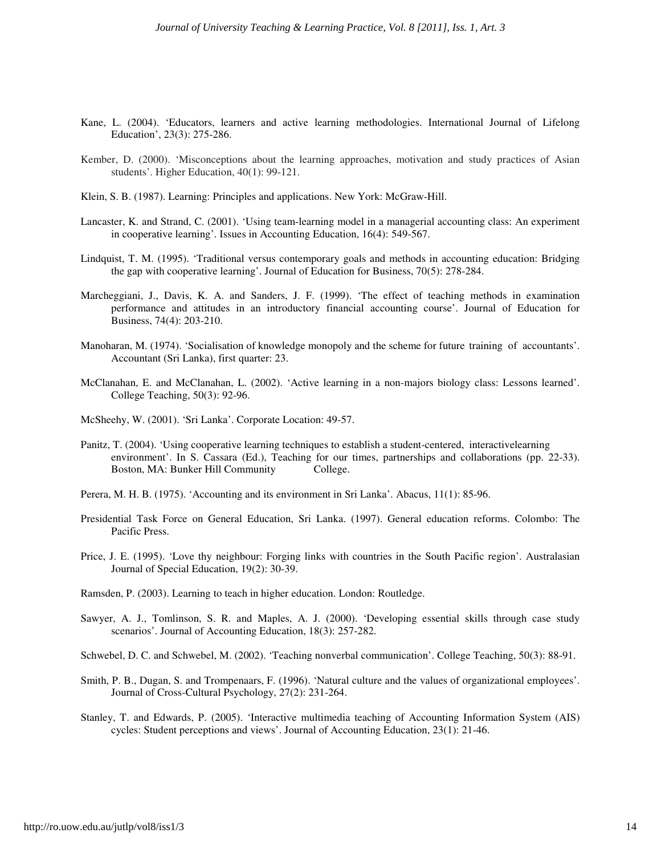- Kane, L. (2004). 'Educators, learners and active learning methodologies. International Journal of Lifelong Education', 23(3): 275-286.
- Kember, D. (2000). 'Misconceptions about the learning approaches, motivation and study practices of Asian students'. Higher Education, 40(1): 99-121.
- Klein, S. B. (1987). Learning: Principles and applications. New York: McGraw-Hill.
- Lancaster, K. and Strand, C. (2001). 'Using team-learning model in a managerial accounting class: An experiment in cooperative learning'. Issues in Accounting Education, 16(4): 549-567.
- Lindquist, T. M. (1995). 'Traditional versus contemporary goals and methods in accounting education: Bridging the gap with cooperative learning'. Journal of Education for Business, 70(5): 278-284.
- Marcheggiani, J., Davis, K. A. and Sanders, J. F. (1999). 'The effect of teaching methods in examination performance and attitudes in an introductory financial accounting course'. Journal of Education for Business, 74(4): 203-210.
- Manoharan, M. (1974). 'Socialisation of knowledge monopoly and the scheme for future training of accountants'. Accountant (Sri Lanka), first quarter: 23.
- McClanahan, E. and McClanahan, L. (2002). 'Active learning in a non-majors biology class: Lessons learned'. College Teaching, 50(3): 92-96.
- McSheehy, W. (2001). 'Sri Lanka'. Corporate Location: 49-57.
- Panitz, T. (2004). 'Using cooperative learning techniques to establish a student-centered, interactivelearning environment'. In S. Cassara (Ed.), Teaching for our times, partnerships and collaborations (pp. 22-33). Boston, MA: Bunker Hill Community College.
- Perera, M. H. B. (1975). 'Accounting and its environment in Sri Lanka'. Abacus, 11(1): 85-96.
- Presidential Task Force on General Education, Sri Lanka. (1997). General education reforms. Colombo: The Pacific Press.
- Price, J. E. (1995). 'Love thy neighbour: Forging links with countries in the South Pacific region'. Australasian Journal of Special Education, 19(2): 30-39.
- Ramsden, P. (2003). Learning to teach in higher education. London: Routledge.
- Sawyer, A. J., Tomlinson, S. R. and Maples, A. J. (2000). 'Developing essential skills through case study scenarios'. Journal of Accounting Education, 18(3): 257-282.

Schwebel, D. C. and Schwebel, M. (2002). 'Teaching nonverbal communication'. College Teaching, 50(3): 88-91.

- Smith, P. B., Dugan, S. and Trompenaars, F. (1996). 'Natural culture and the values of organizational employees'. Journal of Cross-Cultural Psychology, 27(2): 231-264.
- Stanley, T. and Edwards, P. (2005). 'Interactive multimedia teaching of Accounting Information System (AIS) cycles: Student perceptions and views'. Journal of Accounting Education, 23(1): 21-46.